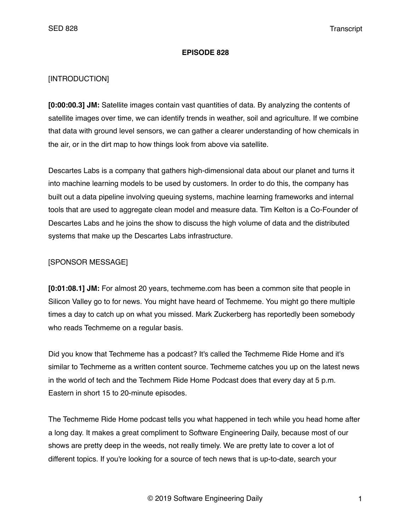#### **EPISODE 828**

### [INTRODUCTION]

**[0:00:00.3] JM:** Satellite images contain vast quantities of data. By analyzing the contents of satellite images over time, we can identify trends in weather, soil and agriculture. If we combine that data with ground level sensors, we can gather a clearer understanding of how chemicals in the air, or in the dirt map to how things look from above via satellite.

Descartes Labs is a company that gathers high-dimensional data about our planet and turns it into machine learning models to be used by customers. In order to do this, the company has built out a data pipeline involving queuing systems, machine learning frameworks and internal tools that are used to aggregate clean model and measure data. Tim Kelton is a Co-Founder of Descartes Labs and he joins the show to discuss the high volume of data and the distributed systems that make up the Descartes Labs infrastructure.

#### [SPONSOR MESSAGE]

**[0:01:08.1] JM:** For almost 20 years, techmeme.com has been a common site that people in Silicon Valley go to for news. You might have heard of Techmeme. You might go there multiple times a day to catch up on what you missed. Mark Zuckerberg has reportedly been somebody who reads Techmeme on a regular basis.

Did you know that Techmeme has a podcast? It's called the Techmeme Ride Home and it's similar to Techmeme as a written content source. Techmeme catches you up on the latest news in the world of tech and the Techmem Ride Home Podcast does that every day at 5 p.m. Eastern in short 15 to 20-minute episodes.

The Techmeme Ride Home podcast tells you what happened in tech while you head home after a long day. It makes a great compliment to Software Engineering Daily, because most of our shows are pretty deep in the weeds, not really timely. We are pretty late to cover a lot of different topics. If you're looking for a source of tech news that is up-to-date, search your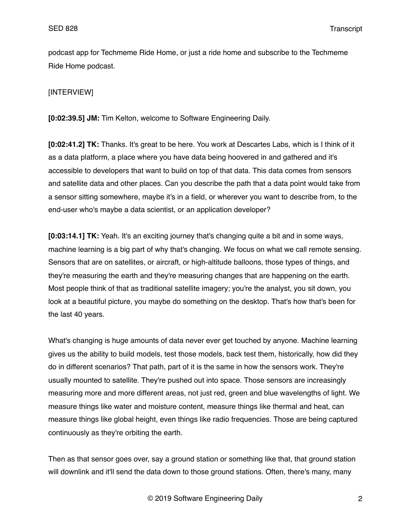podcast app for Techmeme Ride Home, or just a ride home and subscribe to the Techmeme Ride Home podcast.

### [INTERVIEW]

**[0:02:39.5] JM:** Tim Kelton, welcome to Software Engineering Daily.

**[0:02:41.2] TK:** Thanks. It's great to be here. You work at Descartes Labs, which is I think of it as a data platform, a place where you have data being hoovered in and gathered and it's accessible to developers that want to build on top of that data. This data comes from sensors and satellite data and other places. Can you describe the path that a data point would take from a sensor sitting somewhere, maybe it's in a field, or wherever you want to describe from, to the end-user who's maybe a data scientist, or an application developer?

**[0:03:14.1] TK:** Yeah. It's an exciting journey that's changing quite a bit and in some ways, machine learning is a big part of why that's changing. We focus on what we call remote sensing. Sensors that are on satellites, or aircraft, or high-altitude balloons, those types of things, and they're measuring the earth and they're measuring changes that are happening on the earth. Most people think of that as traditional satellite imagery; you're the analyst, you sit down, you look at a beautiful picture, you maybe do something on the desktop. That's how that's been for the last 40 years.

What's changing is huge amounts of data never ever get touched by anyone. Machine learning gives us the ability to build models, test those models, back test them, historically, how did they do in different scenarios? That path, part of it is the same in how the sensors work. They're usually mounted to satellite. They're pushed out into space. Those sensors are increasingly measuring more and more different areas, not just red, green and blue wavelengths of light. We measure things like water and moisture content, measure things like thermal and heat, can measure things like global height, even things like radio frequencies. Those are being captured continuously as they're orbiting the earth.

Then as that sensor goes over, say a ground station or something like that, that ground station will downlink and it'll send the data down to those ground stations. Often, there's many, many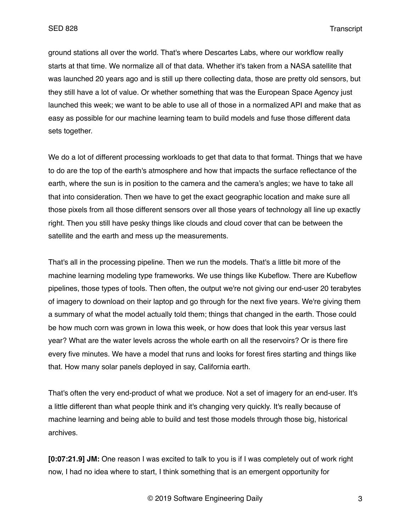ground stations all over the world. That's where Descartes Labs, where our workflow really starts at that time. We normalize all of that data. Whether it's taken from a NASA satellite that was launched 20 years ago and is still up there collecting data, those are pretty old sensors, but they still have a lot of value. Or whether something that was the European Space Agency just launched this week; we want to be able to use all of those in a normalized API and make that as easy as possible for our machine learning team to build models and fuse those different data sets together.

We do a lot of different processing workloads to get that data to that format. Things that we have to do are the top of the earth's atmosphere and how that impacts the surface reflectance of the earth, where the sun is in position to the camera and the camera's angles; we have to take all that into consideration. Then we have to get the exact geographic location and make sure all those pixels from all those different sensors over all those years of technology all line up exactly right. Then you still have pesky things like clouds and cloud cover that can be between the satellite and the earth and mess up the measurements.

That's all in the processing pipeline. Then we run the models. That's a little bit more of the machine learning modeling type frameworks. We use things like Kubeflow. There are Kubeflow pipelines, those types of tools. Then often, the output we're not giving our end-user 20 terabytes of imagery to download on their laptop and go through for the next five years. We're giving them a summary of what the model actually told them; things that changed in the earth. Those could be how much corn was grown in Iowa this week, or how does that look this year versus last year? What are the water levels across the whole earth on all the reservoirs? Or is there fire every five minutes. We have a model that runs and looks for forest fires starting and things like that. How many solar panels deployed in say, California earth.

That's often the very end-product of what we produce. Not a set of imagery for an end-user. It's a little different than what people think and it's changing very quickly. It's really because of machine learning and being able to build and test those models through those big, historical archives.

**[0:07:21.9] JM:** One reason I was excited to talk to you is if I was completely out of work right now, I had no idea where to start, I think something that is an emergent opportunity for

© 2019 Software Engineering Daily 3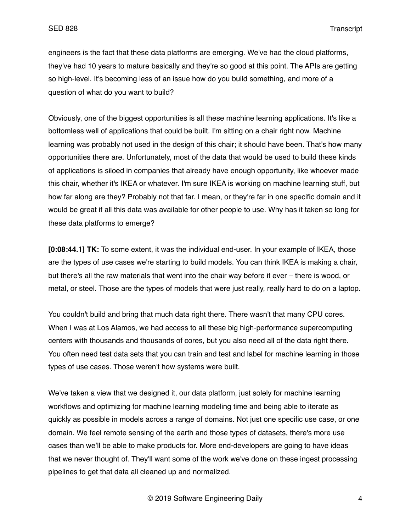engineers is the fact that these data platforms are emerging. We've had the cloud platforms, they've had 10 years to mature basically and they're so good at this point. The APIs are getting so high-level. It's becoming less of an issue how do you build something, and more of a question of what do you want to build?

Obviously, one of the biggest opportunities is all these machine learning applications. It's like a bottomless well of applications that could be built. I'm sitting on a chair right now. Machine learning was probably not used in the design of this chair; it should have been. That's how many opportunities there are. Unfortunately, most of the data that would be used to build these kinds of applications is siloed in companies that already have enough opportunity, like whoever made this chair, whether it's IKEA or whatever. I'm sure IKEA is working on machine learning stuff, but how far along are they? Probably not that far. I mean, or they're far in one specific domain and it would be great if all this data was available for other people to use. Why has it taken so long for these data platforms to emerge?

**[0:08:44.1] TK:** To some extent, it was the individual end-user. In your example of IKEA, those are the types of use cases we're starting to build models. You can think IKEA is making a chair, but there's all the raw materials that went into the chair way before it ever – there is wood, or metal, or steel. Those are the types of models that were just really, really hard to do on a laptop.

You couldn't build and bring that much data right there. There wasn't that many CPU cores. When I was at Los Alamos, we had access to all these big high-performance supercomputing centers with thousands and thousands of cores, but you also need all of the data right there. You often need test data sets that you can train and test and label for machine learning in those types of use cases. Those weren't how systems were built.

We've taken a view that we designed it, our data platform, just solely for machine learning workflows and optimizing for machine learning modeling time and being able to iterate as quickly as possible in models across a range of domains. Not just one specific use case, or one domain. We feel remote sensing of the earth and those types of datasets, there's more use cases than we'll be able to make products for. More end-developers are going to have ideas that we never thought of. They'll want some of the work we've done on these ingest processing pipelines to get that data all cleaned up and normalized.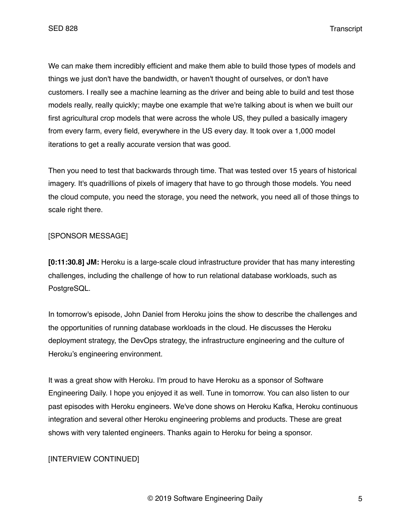We can make them incredibly efficient and make them able to build those types of models and things we just don't have the bandwidth, or haven't thought of ourselves, or don't have customers. I really see a machine learning as the driver and being able to build and test those models really, really quickly; maybe one example that we're talking about is when we built our first agricultural crop models that were across the whole US, they pulled a basically imagery from every farm, every field, everywhere in the US every day. It took over a 1,000 model iterations to get a really accurate version that was good.

Then you need to test that backwards through time. That was tested over 15 years of historical imagery. It's quadrillions of pixels of imagery that have to go through those models. You need the cloud compute, you need the storage, you need the network, you need all of those things to scale right there.

## [SPONSOR MESSAGE]

**[0:11:30.8] JM:** Heroku is a large-scale cloud infrastructure provider that has many interesting challenges, including the challenge of how to run relational database workloads, such as PostgreSQL.

In tomorrow's episode, John Daniel from Heroku joins the show to describe the challenges and the opportunities of running database workloads in the cloud. He discusses the Heroku deployment strategy, the DevOps strategy, the infrastructure engineering and the culture of Heroku's engineering environment.

It was a great show with Heroku. I'm proud to have Heroku as a sponsor of Software Engineering Daily. I hope you enjoyed it as well. Tune in tomorrow. You can also listen to our past episodes with Heroku engineers. We've done shows on Heroku Kafka, Heroku continuous integration and several other Heroku engineering problems and products. These are great shows with very talented engineers. Thanks again to Heroku for being a sponsor.

# [INTERVIEW CONTINUED]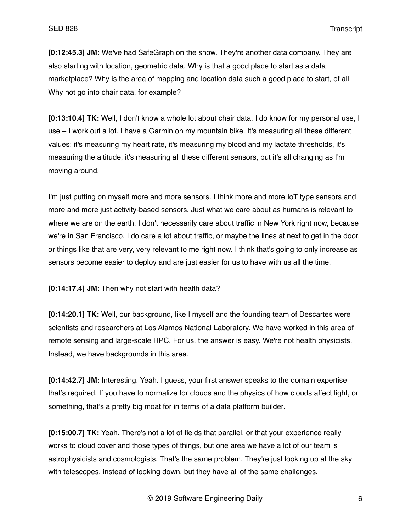**[0:12:45.3] JM:** We've had SafeGraph on the show. They're another data company. They are also starting with location, geometric data. Why is that a good place to start as a data marketplace? Why is the area of mapping and location data such a good place to start, of all – Why not go into chair data, for example?

**[0:13:10.4] TK:** Well, I don't know a whole lot about chair data. I do know for my personal use, I use – I work out a lot. I have a Garmin on my mountain bike. It's measuring all these different values; it's measuring my heart rate, it's measuring my blood and my lactate thresholds, it's measuring the altitude, it's measuring all these different sensors, but it's all changing as I'm moving around.

I'm just putting on myself more and more sensors. I think more and more IoT type sensors and more and more just activity-based sensors. Just what we care about as humans is relevant to where we are on the earth. I don't necessarily care about traffic in New York right now, because we're in San Francisco. I do care a lot about traffic, or maybe the lines at next to get in the door, or things like that are very, very relevant to me right now. I think that's going to only increase as sensors become easier to deploy and are just easier for us to have with us all the time.

**[0:14:17.4] JM:** Then why not start with health data?

**[0:14:20.1] TK:** Well, our background, like I myself and the founding team of Descartes were scientists and researchers at Los Alamos National Laboratory. We have worked in this area of remote sensing and large-scale HPC. For us, the answer is easy. We're not health physicists. Instead, we have backgrounds in this area.

**[0:14:42.7] JM:** Interesting. Yeah. I guess, your first answer speaks to the domain expertise that's required. If you have to normalize for clouds and the physics of how clouds affect light, or something, that's a pretty big moat for in terms of a data platform builder.

**[0:15:00.7] TK:** Yeah. There's not a lot of fields that parallel, or that your experience really works to cloud cover and those types of things, but one area we have a lot of our team is astrophysicists and cosmologists. That's the same problem. They're just looking up at the sky with telescopes, instead of looking down, but they have all of the same challenges.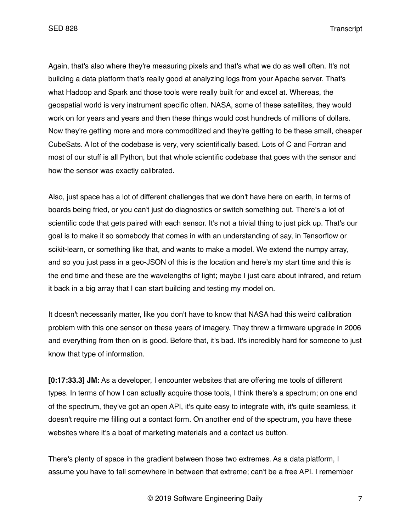Again, that's also where they're measuring pixels and that's what we do as well often. It's not building a data platform that's really good at analyzing logs from your Apache server. That's what Hadoop and Spark and those tools were really built for and excel at. Whereas, the geospatial world is very instrument specific often. NASA, some of these satellites, they would work on for years and years and then these things would cost hundreds of millions of dollars. Now they're getting more and more commoditized and they're getting to be these small, cheaper CubeSats. A lot of the codebase is very, very scientifically based. Lots of C and Fortran and most of our stuff is all Python, but that whole scientific codebase that goes with the sensor and how the sensor was exactly calibrated.

Also, just space has a lot of different challenges that we don't have here on earth, in terms of boards being fried, or you can't just do diagnostics or switch something out. There's a lot of scientific code that gets paired with each sensor. It's not a trivial thing to just pick up. That's our goal is to make it so somebody that comes in with an understanding of say, in Tensorflow or scikit-learn, or something like that, and wants to make a model. We extend the numpy array, and so you just pass in a geo-JSON of this is the location and here's my start time and this is the end time and these are the wavelengths of light; maybe I just care about infrared, and return it back in a big array that I can start building and testing my model on.

It doesn't necessarily matter, like you don't have to know that NASA had this weird calibration problem with this one sensor on these years of imagery. They threw a firmware upgrade in 2006 and everything from then on is good. Before that, it's bad. It's incredibly hard for someone to just know that type of information.

**[0:17:33.3] JM:** As a developer, I encounter websites that are offering me tools of different types. In terms of how I can actually acquire those tools, I think there's a spectrum; on one end of the spectrum, they've got an open API, it's quite easy to integrate with, it's quite seamless, it doesn't require me filling out a contact form. On another end of the spectrum, you have these websites where it's a boat of marketing materials and a contact us button.

There's plenty of space in the gradient between those two extremes. As a data platform, I assume you have to fall somewhere in between that extreme; can't be a free API. I remember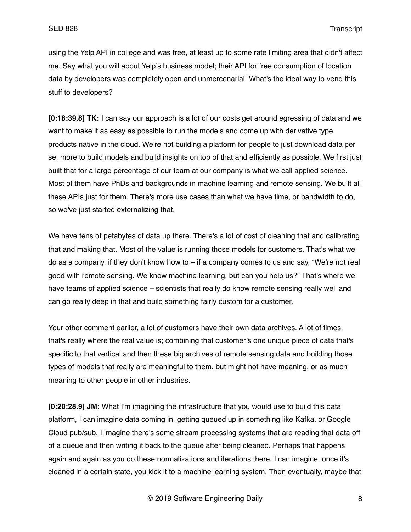using the Yelp API in college and was free, at least up to some rate limiting area that didn't affect me. Say what you will about Yelp's business model; their API for free consumption of location data by developers was completely open and unmercenarial. What's the ideal way to vend this stuff to developers?

**[0:18:39.8] TK:** I can say our approach is a lot of our costs get around egressing of data and we want to make it as easy as possible to run the models and come up with derivative type products native in the cloud. We're not building a platform for people to just download data per se, more to build models and build insights on top of that and efficiently as possible. We first just built that for a large percentage of our team at our company is what we call applied science. Most of them have PhDs and backgrounds in machine learning and remote sensing. We built all these APIs just for them. There's more use cases than what we have time, or bandwidth to do, so we've just started externalizing that.

We have tens of petabytes of data up there. There's a lot of cost of cleaning that and calibrating that and making that. Most of the value is running those models for customers. That's what we do as a company, if they don't know how to – if a company comes to us and say, "We're not real good with remote sensing. We know machine learning, but can you help us?" That's where we have teams of applied science – scientists that really do know remote sensing really well and can go really deep in that and build something fairly custom for a customer.

Your other comment earlier, a lot of customers have their own data archives. A lot of times, that's really where the real value is; combining that customer's one unique piece of data that's specific to that vertical and then these big archives of remote sensing data and building those types of models that really are meaningful to them, but might not have meaning, or as much meaning to other people in other industries.

**[0:20:28.9] JM:** What I'm imagining the infrastructure that you would use to build this data platform, I can imagine data coming in, getting queued up in something like Kafka, or Google Cloud pub/sub. I imagine there's some stream processing systems that are reading that data off of a queue and then writing it back to the queue after being cleaned. Perhaps that happens again and again as you do these normalizations and iterations there. I can imagine, once it's cleaned in a certain state, you kick it to a machine learning system. Then eventually, maybe that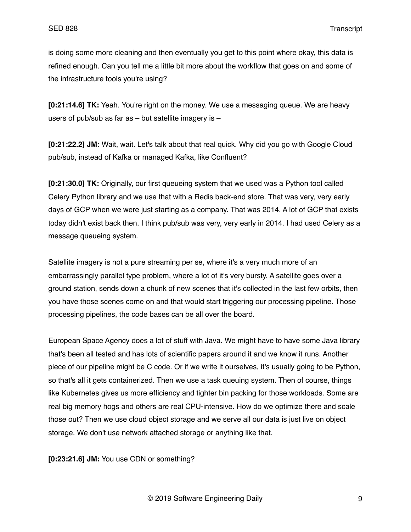is doing some more cleaning and then eventually you get to this point where okay, this data is refined enough. Can you tell me a little bit more about the workflow that goes on and some of the infrastructure tools you're using?

**[0:21:14.6] TK:** Yeah. You're right on the money. We use a messaging queue. We are heavy users of pub/sub as far as – but satellite imagery is –

**[0:21:22.2] JM:** Wait, wait. Let's talk about that real quick. Why did you go with Google Cloud pub/sub, instead of Kafka or managed Kafka, like Confluent?

**[0:21:30.0] TK:** Originally, our first queueing system that we used was a Python tool called Celery Python library and we use that with a Redis back-end store. That was very, very early days of GCP when we were just starting as a company. That was 2014. A lot of GCP that exists today didn't exist back then. I think pub/sub was very, very early in 2014. I had used Celery as a message queueing system.

Satellite imagery is not a pure streaming per se, where it's a very much more of an embarrassingly parallel type problem, where a lot of it's very bursty. A satellite goes over a ground station, sends down a chunk of new scenes that it's collected in the last few orbits, then you have those scenes come on and that would start triggering our processing pipeline. Those processing pipelines, the code bases can be all over the board.

European Space Agency does a lot of stuff with Java. We might have to have some Java library that's been all tested and has lots of scientific papers around it and we know it runs. Another piece of our pipeline might be C code. Or if we write it ourselves, it's usually going to be Python, so that's all it gets containerized. Then we use a task queuing system. Then of course, things like Kubernetes gives us more efficiency and tighter bin packing for those workloads. Some are real big memory hogs and others are real CPU-intensive. How do we optimize there and scale those out? Then we use cloud object storage and we serve all our data is just live on object storage. We don't use network attached storage or anything like that.

**[0:23:21.6] JM:** You use CDN or something?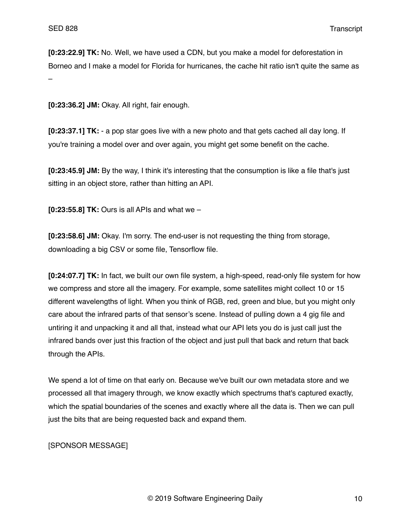**[0:23:22.9] TK:** No. Well, we have used a CDN, but you make a model for deforestation in Borneo and I make a model for Florida for hurricanes, the cache hit ratio isn't quite the same as –

**[0:23:36.2] JM:** Okay. All right, fair enough.

**[0:23:37.1] TK:** - a pop star goes live with a new photo and that gets cached all day long. If you're training a model over and over again, you might get some benefit on the cache.

**[0:23:45.9] JM:** By the way, I think it's interesting that the consumption is like a file that's just sitting in an object store, rather than hitting an API.

**[0:23:55.8] TK:** Ours is all APIs and what we –

**[0:23:58.6] JM:** Okay. I'm sorry. The end-user is not requesting the thing from storage, downloading a big CSV or some file, Tensorflow file.

**[0:24:07.7] TK:** In fact, we built our own file system, a high-speed, read-only file system for how we compress and store all the imagery. For example, some satellites might collect 10 or 15 different wavelengths of light. When you think of RGB, red, green and blue, but you might only care about the infrared parts of that sensor's scene. Instead of pulling down a 4 gig file and untiring it and unpacking it and all that, instead what our API lets you do is just call just the infrared bands over just this fraction of the object and just pull that back and return that back through the APIs.

We spend a lot of time on that early on. Because we've built our own metadata store and we processed all that imagery through, we know exactly which spectrums that's captured exactly, which the spatial boundaries of the scenes and exactly where all the data is. Then we can pull just the bits that are being requested back and expand them.

[SPONSOR MESSAGE]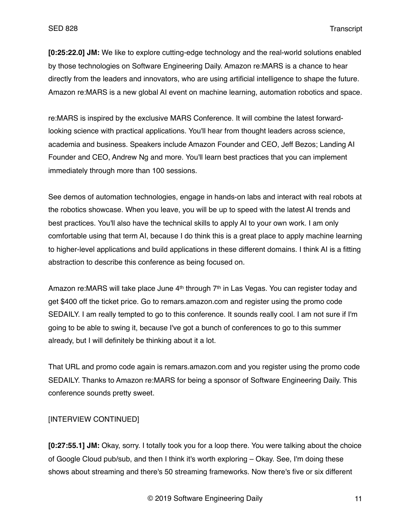**[0:25:22.0] JM:** We like to explore cutting-edge technology and the real-world solutions enabled by those technologies on Software Engineering Daily. Amazon re:MARS is a chance to hear directly from the leaders and innovators, who are using artificial intelligence to shape the future. Amazon re:MARS is a new global AI event on machine learning, automation robotics and space.

re:MARS is inspired by the exclusive MARS Conference. It will combine the latest forwardlooking science with practical applications. You'll hear from thought leaders across science, academia and business. Speakers include Amazon Founder and CEO, Jeff Bezos; Landing AI Founder and CEO, Andrew Ng and more. You'll learn best practices that you can implement immediately through more than 100 sessions.

See demos of automation technologies, engage in hands-on labs and interact with real robots at the robotics showcase. When you leave, you will be up to speed with the latest AI trends and best practices. You'll also have the technical skills to apply AI to your own work. I am only comfortable using that term AI, because I do think this is a great place to apply machine learning to higher-level applications and build applications in these different domains. I think AI is a fitting abstraction to describe this conference as being focused on.

Amazon re:MARS will take place June 4<sup>th</sup> through 7<sup>th</sup> in Las Vegas. You can register today and get \$400 off the ticket price. Go to remars.amazon.com and register using the promo code SEDAILY. I am really tempted to go to this conference. It sounds really cool. I am not sure if I'm going to be able to swing it, because I've got a bunch of conferences to go to this summer already, but I will definitely be thinking about it a lot.

That URL and promo code again is remars.amazon.com and you register using the promo code SEDAILY. Thanks to Amazon re:MARS for being a sponsor of Software Engineering Daily. This conference sounds pretty sweet.

# [INTERVIEW CONTINUED]

**[0:27:55.1] JM:** Okay, sorry. I totally took you for a loop there. You were talking about the choice of Google Cloud pub/sub, and then I think it's worth exploring – Okay. See, I'm doing these shows about streaming and there's 50 streaming frameworks. Now there's five or six different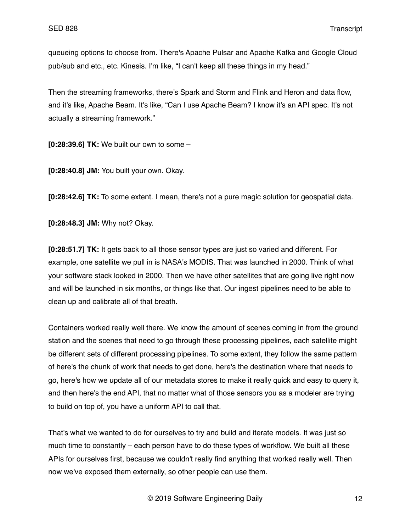queueing options to choose from. There's Apache Pulsar and Apache Kafka and Google Cloud pub/sub and etc., etc. Kinesis. I'm like, "I can't keep all these things in my head."

Then the streaming frameworks, there's Spark and Storm and Flink and Heron and data flow, and it's like, Apache Beam. It's like, "Can I use Apache Beam? I know it's an API spec. It's not actually a streaming framework."

**[0:28:39.6] TK:** We built our own to some –

**[0:28:40.8] JM:** You built your own. Okay.

**[0:28:42.6] TK:** To some extent. I mean, there's not a pure magic solution for geospatial data.

**[0:28:48.3] JM:** Why not? Okay.

**[0:28:51.7] TK:** It gets back to all those sensor types are just so varied and different. For example, one satellite we pull in is NASA's MODIS. That was launched in 2000. Think of what your software stack looked in 2000. Then we have other satellites that are going live right now and will be launched in six months, or things like that. Our ingest pipelines need to be able to clean up and calibrate all of that breath.

Containers worked really well there. We know the amount of scenes coming in from the ground station and the scenes that need to go through these processing pipelines, each satellite might be different sets of different processing pipelines. To some extent, they follow the same pattern of here's the chunk of work that needs to get done, here's the destination where that needs to go, here's how we update all of our metadata stores to make it really quick and easy to query it, and then here's the end API, that no matter what of those sensors you as a modeler are trying to build on top of, you have a uniform API to call that.

That's what we wanted to do for ourselves to try and build and iterate models. It was just so much time to constantly – each person have to do these types of workflow. We built all these APIs for ourselves first, because we couldn't really find anything that worked really well. Then now we've exposed them externally, so other people can use them.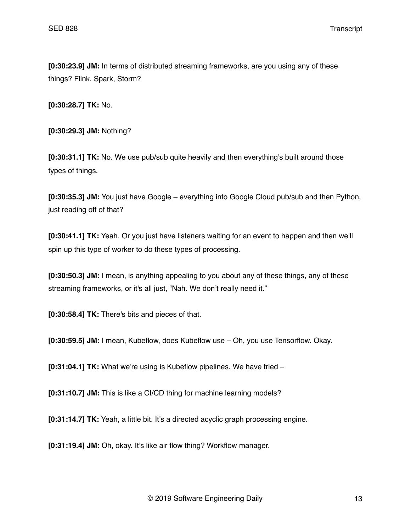**[0:30:23.9] JM:** In terms of distributed streaming frameworks, are you using any of these things? Flink, Spark, Storm?

**[0:30:28.7] TK:** No.

**[0:30:29.3] JM:** Nothing?

**[0:30:31.1] TK:** No. We use pub/sub quite heavily and then everything's built around those types of things.

**[0:30:35.3] JM:** You just have Google – everything into Google Cloud pub/sub and then Python, just reading off of that?

**[0:30:41.1] TK:** Yeah. Or you just have listeners waiting for an event to happen and then we'll spin up this type of worker to do these types of processing.

**[0:30:50.3] JM:** I mean, is anything appealing to you about any of these things, any of these streaming frameworks, or it's all just, "Nah. We don't really need it."

**[0:30:58.4] TK:** There's bits and pieces of that.

**[0:30:59.5] JM:** I mean, Kubeflow, does Kubeflow use – Oh, you use Tensorflow. Okay.

**[0:31:04.1] TK:** What we're using is Kubeflow pipelines. We have tried –

**[0:31:10.7] JM:** This is like a CI/CD thing for machine learning models?

**[0:31:14.7] TK:** Yeah, a little bit. It's a directed acyclic graph processing engine.

**[0:31:19.4] JM:** Oh, okay. It's like air flow thing? Workflow manager.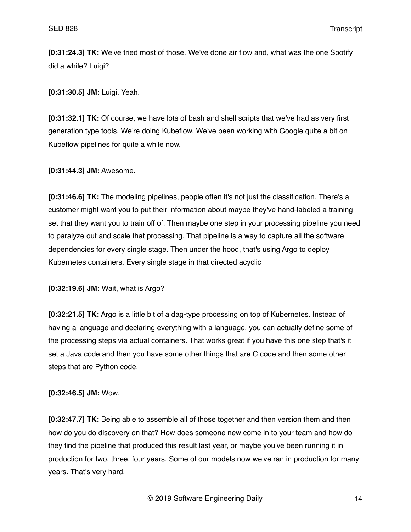**[0:31:24.3] TK:** We've tried most of those. We've done air flow and, what was the one Spotify did a while? Luigi?

**[0:31:30.5] JM:** Luigi. Yeah.

**[0:31:32.1] TK:** Of course, we have lots of bash and shell scripts that we've had as very first generation type tools. We're doing Kubeflow. We've been working with Google quite a bit on Kubeflow pipelines for quite a while now.

**[0:31:44.3] JM:** Awesome.

**[0:31:46.6] TK:** The modeling pipelines, people often it's not just the classification. There's a customer might want you to put their information about maybe they've hand-labeled a training set that they want you to train off of. Then maybe one step in your processing pipeline you need to paralyze out and scale that processing. That pipeline is a way to capture all the software dependencies for every single stage. Then under the hood, that's using Argo to deploy Kubernetes containers. Every single stage in that directed acyclic

**[0:32:19.6] JM:** Wait, what is Argo?

**[0:32:21.5] TK:** Argo is a little bit of a dag-type processing on top of Kubernetes. Instead of having a language and declaring everything with a language, you can actually define some of the processing steps via actual containers. That works great if you have this one step that's it set a Java code and then you have some other things that are C code and then some other steps that are Python code.

**[0:32:46.5] JM:** Wow.

**[0:32:47.7] TK:** Being able to assemble all of those together and then version them and then how do you do discovery on that? How does someone new come in to your team and how do they find the pipeline that produced this result last year, or maybe you've been running it in production for two, three, four years. Some of our models now we've ran in production for many years. That's very hard.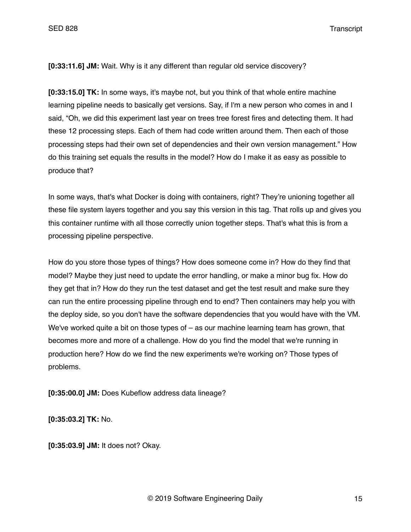**[0:33:11.6] JM:** Wait. Why is it any different than regular old service discovery?

**[0:33:15.0] TK:** In some ways, it's maybe not, but you think of that whole entire machine learning pipeline needs to basically get versions. Say, if I'm a new person who comes in and I said, "Oh, we did this experiment last year on trees tree forest fires and detecting them. It had these 12 processing steps. Each of them had code written around them. Then each of those processing steps had their own set of dependencies and their own version management." How do this training set equals the results in the model? How do I make it as easy as possible to produce that?

In some ways, that's what Docker is doing with containers, right? They're unioning together all these file system layers together and you say this version in this tag. That rolls up and gives you this container runtime with all those correctly union together steps. That's what this is from a processing pipeline perspective.

How do you store those types of things? How does someone come in? How do they find that model? Maybe they just need to update the error handling, or make a minor bug fix. How do they get that in? How do they run the test dataset and get the test result and make sure they can run the entire processing pipeline through end to end? Then containers may help you with the deploy side, so you don't have the software dependencies that you would have with the VM. We've worked quite a bit on those types of – as our machine learning team has grown, that becomes more and more of a challenge. How do you find the model that we're running in production here? How do we find the new experiments we're working on? Those types of problems.

**[0:35:00.0] JM:** Does Kubeflow address data lineage?

**[0:35:03.2] TK:** No.

**[0:35:03.9] JM:** It does not? Okay.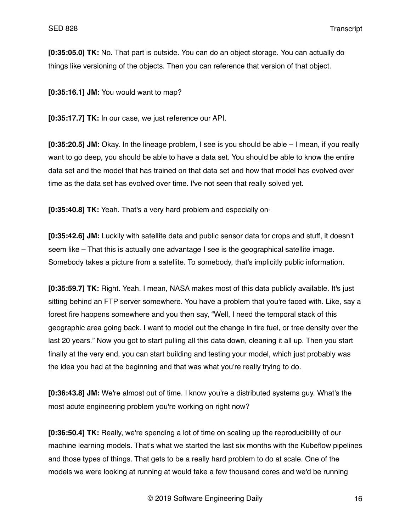**[0:35:05.0] TK:** No. That part is outside. You can do an object storage. You can actually do things like versioning of the objects. Then you can reference that version of that object.

**[0:35:16.1] JM:** You would want to map?

**[0:35:17.7] TK:** In our case, we just reference our API.

**[0:35:20.5] JM:** Okay. In the lineage problem, I see is you should be able – I mean, if you really want to go deep, you should be able to have a data set. You should be able to know the entire data set and the model that has trained on that data set and how that model has evolved over time as the data set has evolved over time. I've not seen that really solved yet.

**[0:35:40.8] TK:** Yeah. That's a very hard problem and especially on-

**[0:35:42.6] JM:** Luckily with satellite data and public sensor data for crops and stuff, it doesn't seem like – That this is actually one advantage I see is the geographical satellite image. Somebody takes a picture from a satellite. To somebody, that's implicitly public information.

**[0:35:59.7] TK:** Right. Yeah. I mean, NASA makes most of this data publicly available. It's just sitting behind an FTP server somewhere. You have a problem that you're faced with. Like, say a forest fire happens somewhere and you then say, "Well, I need the temporal stack of this geographic area going back. I want to model out the change in fire fuel, or tree density over the last 20 years." Now you got to start pulling all this data down, cleaning it all up. Then you start finally at the very end, you can start building and testing your model, which just probably was the idea you had at the beginning and that was what you're really trying to do.

**[0:36:43.8] JM:** We're almost out of time. I know you're a distributed systems guy. What's the most acute engineering problem you're working on right now?

**[0:36:50.4] TK:** Really, we're spending a lot of time on scaling up the reproducibility of our machine learning models. That's what we started the last six months with the Kubeflow pipelines and those types of things. That gets to be a really hard problem to do at scale. One of the models we were looking at running at would take a few thousand cores and we'd be running